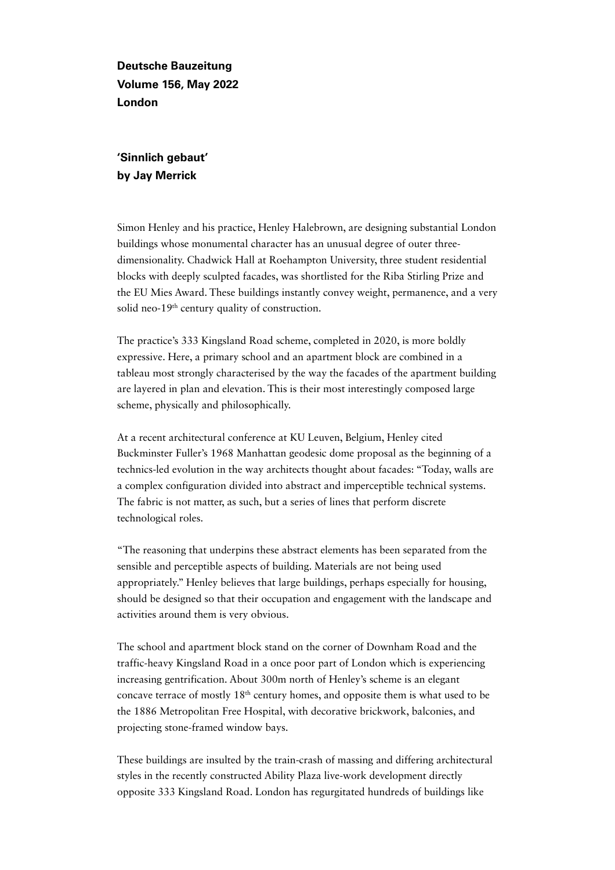**Deutsche Bauzeitung Volume 156, May 2022 London**

**'Sinnlich gebaut' by Jay Merrick** 

Simon Henley and his practice, Henley Halebrown, are designing substantial London buildings whose monumental character has an unusual degree of outer threedimensionality. Chadwick Hall at Roehampton University, three student residential blocks with deeply sculpted facades, was shortlisted for the Riba Stirling Prize and the EU Mies Award. These buildings instantly convey weight, permanence, and a very solid neo-19<sup>th</sup> century quality of construction.

The practice's 333 Kingsland Road scheme, completed in 2020, is more boldly expressive. Here, a primary school and an apartment block are combined in a tableau most strongly characterised by the way the facades of the apartment building are layered in plan and elevation. This is their most interestingly composed large scheme, physically and philosophically.

At a recent architectural conference at KU Leuven, Belgium, Henley cited Buckminster Fuller's 1968 Manhattan geodesic dome proposal as the beginning of a technics-led evolution in the way architects thought about facades: "Today, walls are a complex configuration divided into abstract and imperceptible technical systems. The fabric is not matter, as such, but a series of lines that perform discrete technological roles.

"The reasoning that underpins these abstract elements has been separated from the sensible and perceptible aspects of building. Materials are not being used appropriately." Henley believes that large buildings, perhaps especially for housing, should be designed so that their occupation and engagement with the landscape and activities around them is very obvious.

The school and apartment block stand on the corner of Downham Road and the traffic-heavy Kingsland Road in a once poor part of London which is experiencing increasing gentrification. About 300m north of Henley's scheme is an elegant concave terrace of mostly 18th century homes, and opposite them is what used to be the 1886 Metropolitan Free Hospital, with decorative brickwork, balconies, and projecting stone-framed window bays.

These buildings are insulted by the train-crash of massing and differing architectural styles in the recently constructed Ability Plaza live-work development directly opposite 333 Kingsland Road. London has regurgitated hundreds of buildings like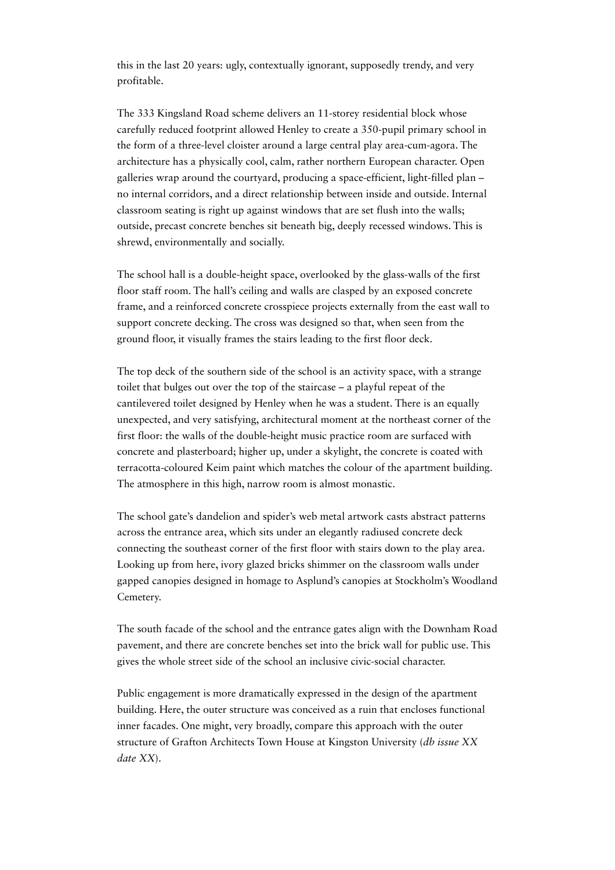this in the last 20 years: ugly, contextually ignorant, supposedly trendy, and very profitable.

The 333 Kingsland Road scheme delivers an 11-storey residential block whose carefully reduced footprint allowed Henley to create a 350-pupil primary school in the form of a three-level cloister around a large central play area-cum-agora. The architecture has a physically cool, calm, rather northern European character. Open galleries wrap around the courtyard, producing a space-efficient, light-filled plan – no internal corridors, and a direct relationship between inside and outside. Internal classroom seating is right up against windows that are set flush into the walls; outside, precast concrete benches sit beneath big, deeply recessed windows. This is shrewd, environmentally and socially.

The school hall is a double-height space, overlooked by the glass-walls of the first floor staff room. The hall's ceiling and walls are clasped by an exposed concrete frame, and a reinforced concrete crosspiece projects externally from the east wall to support concrete decking. The cross was designed so that, when seen from the ground floor, it visually frames the stairs leading to the first floor deck.

The top deck of the southern side of the school is an activity space, with a strange toilet that bulges out over the top of the staircase – a playful repeat of the cantilevered toilet designed by Henley when he was a student. There is an equally unexpected, and very satisfying, architectural moment at the northeast corner of the first floor: the walls of the double-height music practice room are surfaced with concrete and plasterboard; higher up, under a skylight, the concrete is coated with terracotta-coloured Keim paint which matches the colour of the apartment building. The atmosphere in this high, narrow room is almost monastic.

The school gate's dandelion and spider's web metal artwork casts abstract patterns across the entrance area, which sits under an elegantly radiused concrete deck connecting the southeast corner of the first floor with stairs down to the play area. Looking up from here, ivory glazed bricks shimmer on the classroom walls under gapped canopies designed in homage to Asplund's canopies at Stockholm's Woodland Cemetery.

The south facade of the school and the entrance gates align with the Downham Road pavement, and there are concrete benches set into the brick wall for public use. This gives the whole street side of the school an inclusive civic-social character.

Public engagement is more dramatically expressed in the design of the apartment building. Here, the outer structure was conceived as a ruin that encloses functional inner facades. One might, very broadly, compare this approach with the outer structure of Grafton Architects Town House at Kingston University (*db issue XX date XX*).